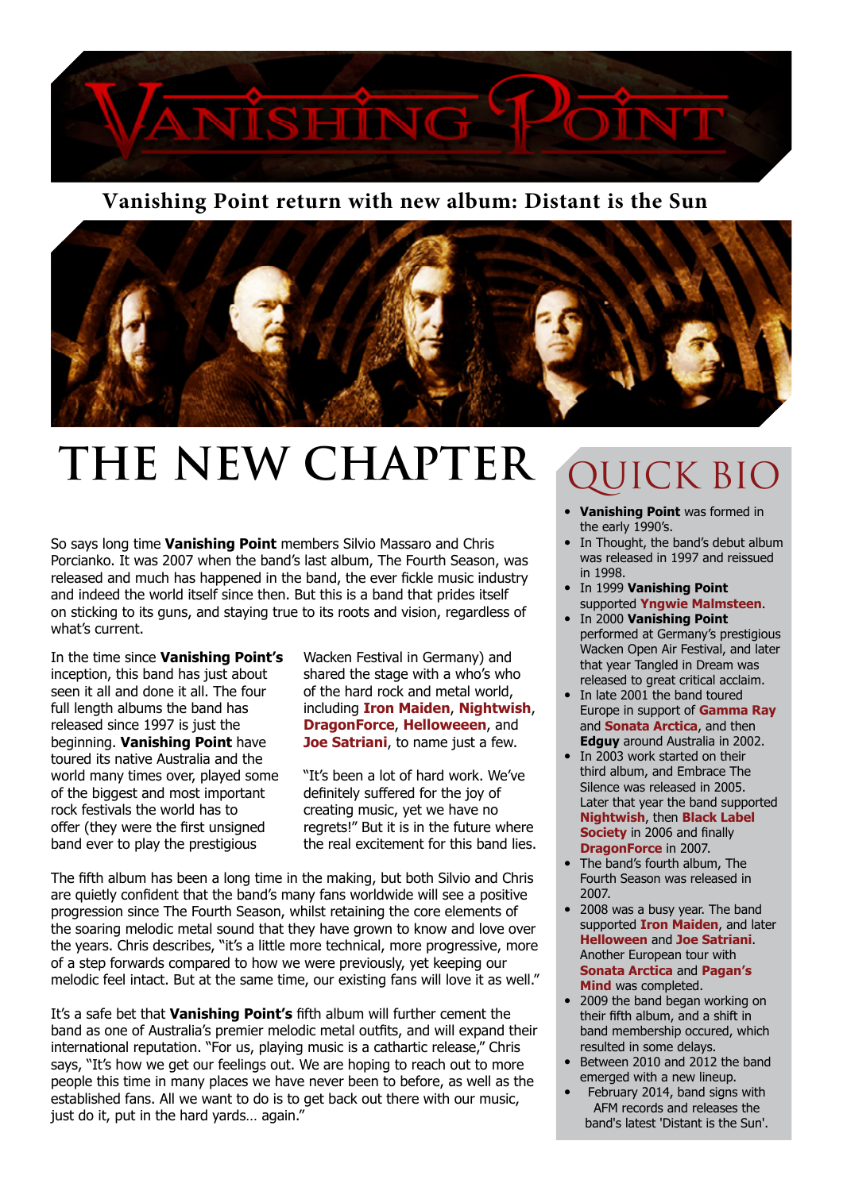

#### **Vanishing Point return with new album: Distant is the Sun**



## **THE NEW CHAPTER** QUICK BIO

So says long time **Vanishing Point** members Silvio Massaro and Chris Porcianko. It was 2007 when the band's last album, The Fourth Season, was released and much has happened in the band, the ever fickle music industry and indeed the world itself since then. But this is a band that prides itself on sticking to its guns, and staying true to its roots and vision, regardless of what's current.

In the time since **Vanishing Point's** inception, this band has just about seen it all and done it all. The four full length albums the band has released since 1997 is just the beginning. **Vanishing Point** have toured its native Australia and the world many times over, played some of the biggest and most important rock festivals the world has to offer (they were the first unsigned band ever to play the prestigious

Wacken Festival in Germany) and shared the stage with a who's who of the hard rock and metal world, including **Iron Maiden**, **Nightwish**, **DragonForce**, **Helloweeen**, and **Joe Satriani**, to name just a few.

"It's been a lot of hard work. We've definitely suffered for the joy of creating music, yet we have no regrets!" But it is in the future where the real excitement for this band lies.

The fifth album has been a long time in the making, but both Silvio and Chris are quietly confident that the band's many fans worldwide will see a positive progression since The Fourth Season, whilst retaining the core elements of the soaring melodic metal sound that they have grown to know and love over the years. Chris describes, "it's a little more technical, more progressive, more of a step forwards compared to how we were previously, yet keeping our melodic feel intact. But at the same time, our existing fans will love it as well."

It's a safe bet that **Vanishing Point's** fifth album will further cement the band as one of Australia's premier melodic metal outfits, and will expand their international reputation. "For us, playing music is a cathartic release," Chris says, "It's how we get our feelings out. We are hoping to reach out to more people this time in many places we have never been to before, as well as the established fans. All we want to do is to get back out there with our music, just do it, put in the hard yards… again."

- **Vanishing Point** was formed in the early 1990's.
- In Thought, the band's debut album was released in 1997 and reissued in 1998.
- In 1999 **Vanishing Point** supported **Yngwie Malmsteen**.
- In 2000 **Vanishing Point** performed at Germany's prestigious Wacken Open Air Festival, and later that year Tangled in Dream was released to great critical acclaim.
- In late 2001 the band toured Europe in support of **Gamma Ray** and **Sonata Arctica**, and then **Edguy** around Australia in 2002.
- In 2003 work started on their third album, and Embrace The Silence was released in 2005. Later that year the band supported **Nightwish**, then **Black Label Society** in 2006 and finally **DragonForce** in 2007.
- The band's fourth album, The Fourth Season was released in 2007.
- 2008 was a busy year. The band supported **Iron Maiden**, and later **Helloween** and **Joe Satriani**. Another European tour with **Sonata Arctica** and **Pagan's Mind** was completed.
- 2009 the band began working on their fifth album, and a shift in band membership occured, which resulted in some delays.
- Between 2010 and 2012 the band emerged with a new lineup.
- February 2014, band signs with AFM records and releases the band's latest 'Distant is the Sun'.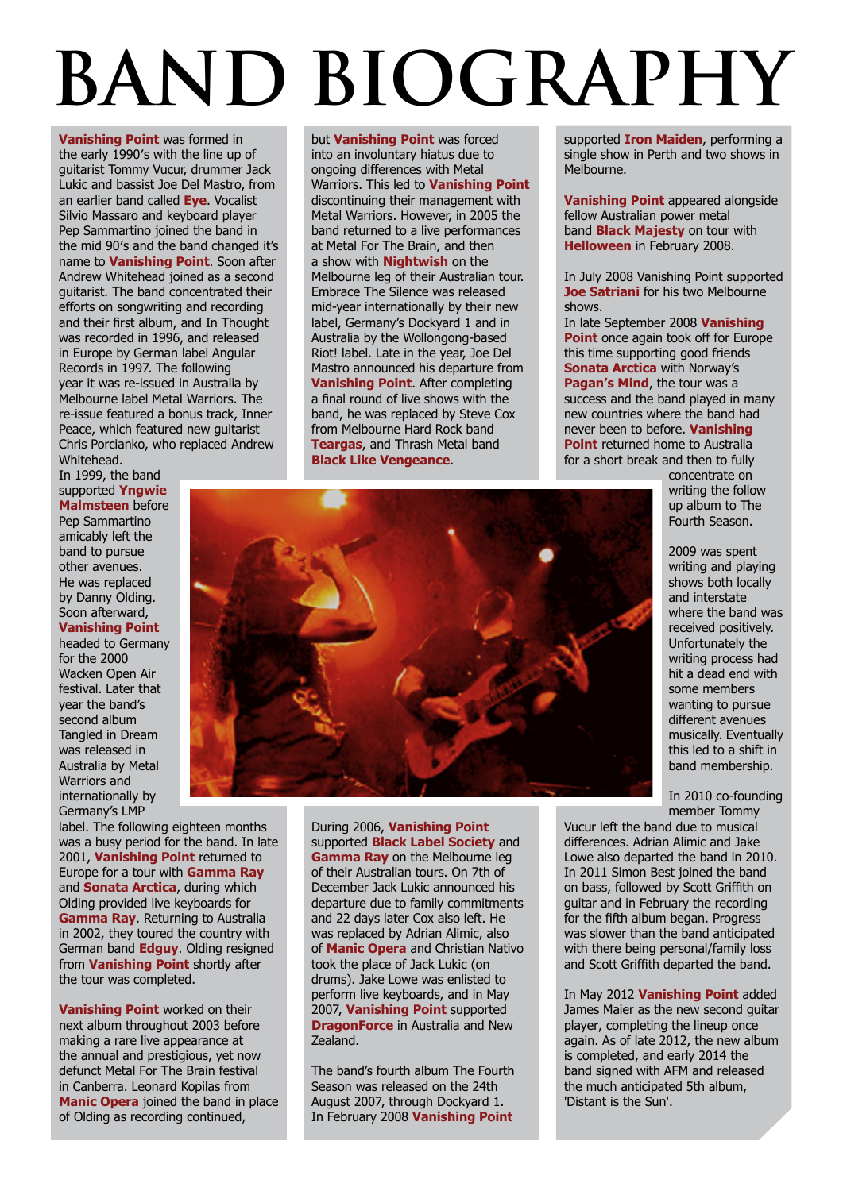# **BAND BIOGRAPHY**

**Vanishing Point** was formed in the early 1990′s with the line up of guitarist Tommy Vucur, drummer Jack Lukic and bassist Joe Del Mastro, from an earlier band called **Eye**. Vocalist Silvio Massaro and keyboard player Pep Sammartino joined the band in the mid 90′s and the band changed it's name to **Vanishing Point**. Soon after Andrew Whitehead joined as a second guitarist. The band concentrated their efforts on songwriting and recording and their first album, and In Thought was recorded in 1996, and released in Europe by German label Angular Records in 1997. The following year it was re-issued in Australia by Melbourne label Metal Warriors. The re-issue featured a bonus track, Inner Peace, which featured new guitarist Chris Porcianko, who replaced Andrew Whitehead.

In 1999, the band supported **Yngwie Malmsteen** before Pep Sammartino amicably left the band to pursue other avenues. He was replaced by Danny Olding. Soon afterward,

#### **Vanishing Point**

headed to Germany for the 2000 Wacken Open Air festival. Later that year the band's second album Tangled in Dream was released in Australia by Metal Warriors and internationally by Germany's LMP

label. The following eighteen months was a busy period for the band. In late 2001, **Vanishing Point** returned to Europe for a tour with **Gamma Ray** and **Sonata Arctica**, during which Olding provided live keyboards for **Gamma Ray**. Returning to Australia in 2002, they toured the country with German band **Edguy**. Olding resigned from **Vanishing Point** shortly after the tour was completed.

**Vanishing Point** worked on their next album throughout 2003 before making a rare live appearance at the annual and prestigious, yet now defunct Metal For The Brain festival in Canberra. Leonard Kopilas from **Manic Opera** joined the band in place of Olding as recording continued,

but **Vanishing Point** was forced into an involuntary hiatus due to ongoing differences with Metal Warriors. This led to **Vanishing Point** discontinuing their management with Metal Warriors. However, in 2005 the band returned to a live performances at Metal For The Brain, and then a show with **Nightwish** on the Melbourne leg of their Australian tour. Embrace The Silence was released mid-year internationally by their new label, Germany's Dockyard 1 and in Australia by the Wollongong-based Riot! label. Late in the year, Joe Del Mastro announced his departure from **Vanishing Point**. After completing a final round of live shows with the band, he was replaced by Steve Cox from Melbourne Hard Rock band **Teargas**, and Thrash Metal band **Black Like Vengeance**.

supported **Iron Maiden**, performing a single show in Perth and two shows in Melbourne.

**Vanishing Point** appeared alongside fellow Australian power metal band **Black Majesty** on tour with **Helloween** in February 2008.

In July 2008 Vanishing Point supported **Joe Satriani** for his two Melbourne shows.

In late September 2008 **Vanishing Point** once again took off for Europe this time supporting good friends **Sonata Arctica** with Norway's **Pagan's Mind**, the tour was a success and the band played in many new countries where the band had never been to before. **Vanishing Point** returned home to Australia for a short break and then to fully

> concentrate on writing the follow up album to The Fourth Season.



In 2010 co-founding member Tommy

Vucur left the band due to musical differences. Adrian Alimic and Jake Lowe also departed the band in 2010. In 2011 Simon Best joined the band on bass, followed by Scott Griffith on guitar and in February the recording for the fifth album began. Progress was slower than the band anticipated with there being personal/family loss and Scott Griffith departed the band.

In May 2012 **Vanishing Point** added James Maier as the new second guitar player, completing the lineup once again. As of late 2012, the new album is completed, and early 2014 the band signed with AFM and released the much anticipated 5th album, 'Distant is the Sun'.



During 2006, **Vanishing Point** supported **Black Label Society** and **Gamma Ray** on the Melbourne leg of their Australian tours. On 7th of December Jack Lukic announced his departure due to family commitments and 22 days later Cox also left. He was replaced by Adrian Alimic, also of **Manic Opera** and Christian Nativo took the place of Jack Lukic (on drums). Jake Lowe was enlisted to perform live keyboards, and in May 2007, **Vanishing Point** supported **DragonForce** in Australia and New Zealand.

The band's fourth album The Fourth Season was released on the 24th August 2007, through Dockyard 1. In February 2008 **Vanishing Point**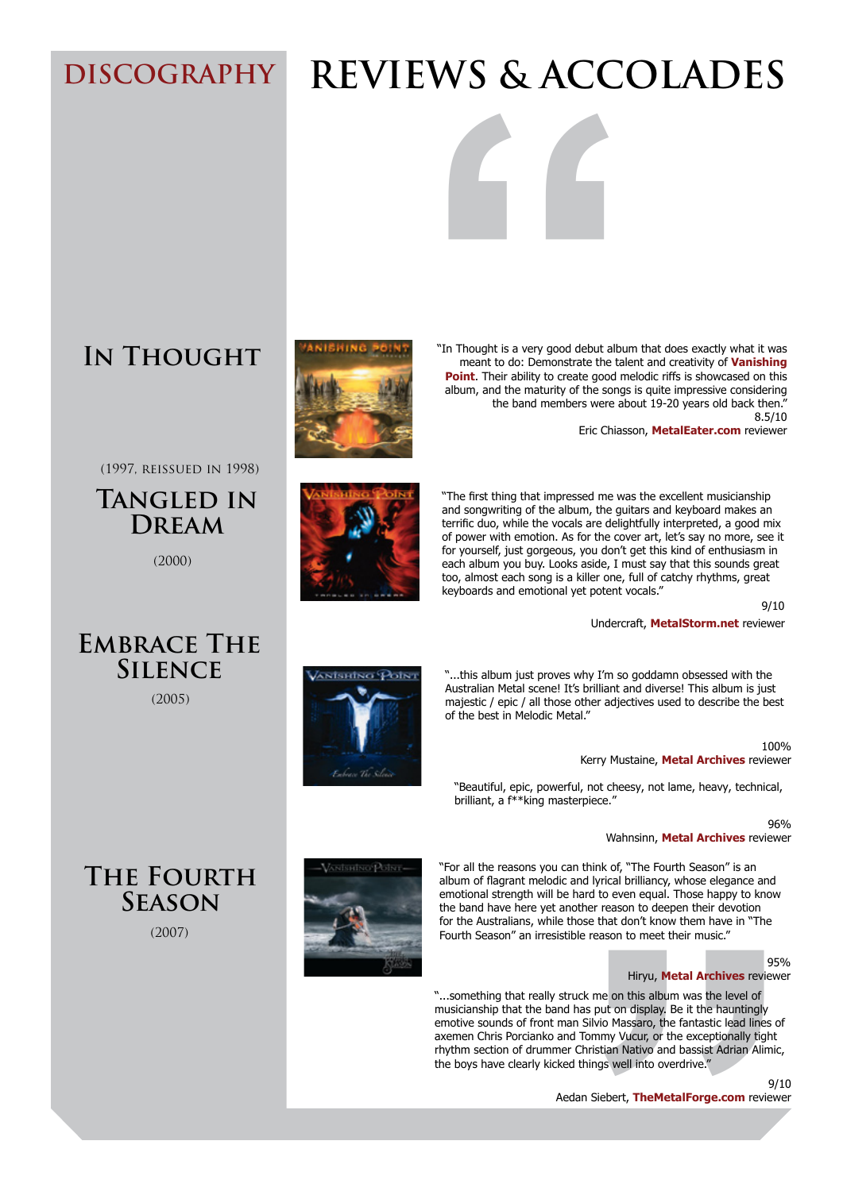## **DISCOGRAPHY REVIEWS & ACCOLADES**

**5HLHZVDGDUWLFOHVLL** KWWSXXXWUHGNLOOPDJDLHFRPPDUFKL ZXXPHWDOREVHVVLRHWDI VKLJSRLWU GLVWDWLVWKHVI

KWWSVIPHGLDFRPDDLVKLUSRLWGLVWDWLVWKHVFGL  $U$ HT HIZI $\Pi$  $\Box$ 

### KWWSWKHPVI FFRPDUHLHIZVDOEPI DLVKLUSRLWGLVWDMLVWKHVFUHGDFUDEEL

### **In Thought**

(1997, reissued in 1998)

**Tangled in Dream**

(2000)

**EMBRACE THE Silence**

(2005)

**EXAMPLE SET AND SET AND SET AND SET AND SET AND SET AND DONE CONSIDENT CONSIDERATION CONTINUES.<br>
THE PAY DESCRIPTION CONSIDERATION CONSIDERATION CONSIDERATION CONTINUES.<br>
THE CONSIDERED CONSIDERED CONSIDERED CONSIDERED TO** "In Thought is a very good debut album that does exactly what it was meant to do: Demonstrate the talent and creativity of **Vanishing Point**. Their ability to create good melodic riffs is showcased on this album, and the maturity of the songs is quite impressive considering the band members were about 19-20 years old back then." 8.5/10

Eric Chiasson, **MetalEater.com** reviewer



"The first thing that impressed me was the excellent musicianship and songwriting of the album, the guitars and keyboard makes an terrific duo, while the vocals are delightfully interpreted, a good mix of power with emotion. As for the cover art, let's say no more, see it for yourself, just gorgeous, you don't get this kind of enthusiasm in each album you buy. Looks aside, I must say that this sounds great too, almost each song is a killer one, full of catchy rhythms, great keyboards and emotional yet potent vocals."

9/10

Undercraft, **MetalStorm.net** reviewer



"...this album just proves why I'm so goddamn obsessed with the Australian Metal scene! It's brilliant and diverse! This album is just majestic / epic / all those other adjectives used to describe the best of the best in Melodic Metal."

> 100% Kerry Mustaine, **Metal Archives** reviewer

"Beautiful, epic, powerful, not cheesy, not lame, heavy, technical, brilliant, a f\*\*king masterpiece."

96%

Wahnsinn, **Metal Archives** reviewer

"For all the reasons you can think of, "The Fourth Season" is an album of flagrant melodic and lyrical brilliancy, whose elegance and emotional strength will be hard to even equal. Those happy to know the band have here yet another reason to deepen their devotion for the Australians, while those that don't know them have in "The Fourth Season" an irresistible reason to meet their music."

#### 95%

#### Hiryu, **Metal Archives** reviewer

cheesy, not lame, heavy, technical,<br>
96%<br>
Wahnsinn, **Metal Archives** reviewer<br>
k of, "The Fourth Season" is an<br>
rical brilliancy, whose elegance and<br>
o even equal. Those happy to know<br>
reason to deepen their devotion<br>
hat "...something that really struck me on this album was the level of musicianship that the band has put on display. Be it the hauntingly emotive sounds of front man Silvio Massaro, the fantastic lead lines of axemen Chris Porcianko and Tommy Vucur, or the exceptionally tight rhythm section of drummer Christian Nativo and bassist Adrian Alimic, the boys have clearly kicked things well into overdrive.

9/10

**The Fourth Season**





(2007)

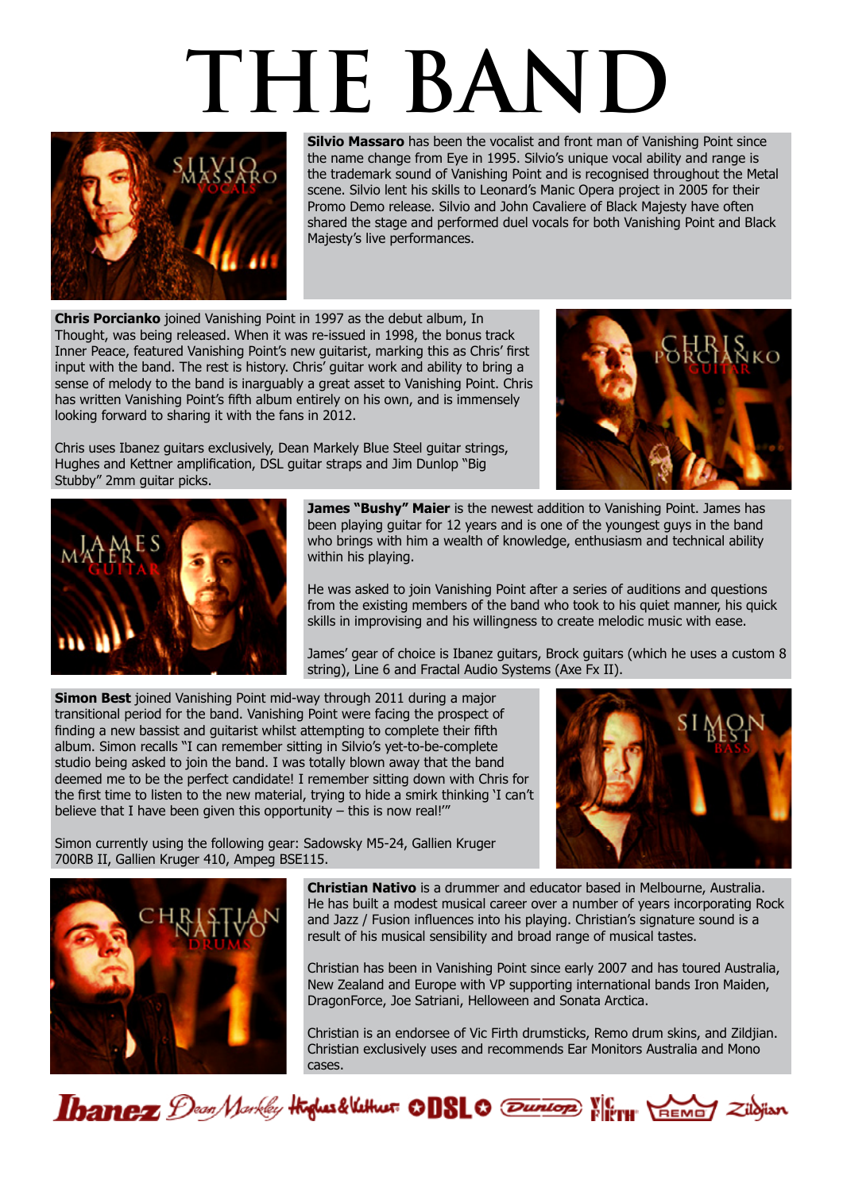# **THE BAND**



**Silvio Massaro** has been the vocalist and front man of Vanishing Point since the name change from Eye in 1995. Silvio's unique vocal ability and range is the trademark sound of Vanishing Point and is recognised throughout the Metal scene. Silvio lent his skills to Leonard's Manic Opera project in 2005 for their Promo Demo release. Silvio and John Cavaliere of Black Majesty have often shared the stage and performed duel vocals for both Vanishing Point and Black Majesty's live performances.

**Chris Porcianko** joined Vanishing Point in 1997 as the debut album, In Thought, was being released. When it was re-issued in 1998, the bonus track Inner Peace, featured Vanishing Point's new guitarist, marking this as Chris' first input with the band. The rest is history. Chris' guitar work and ability to bring a sense of melody to the band is inarguably a great asset to Vanishing Point. Chris has written Vanishing Point's fifth album entirely on his own, and is immensely looking forward to sharing it with the fans in 2012.

Chris uses Ibanez guitars exclusively, Dean Markely Blue Steel guitar strings, Hughes and Kettner amplification, DSL guitar straps and Jim Dunlop "Big Stubby" 2mm guitar picks.





**James "Bushy" Maier** is the newest addition to Vanishing Point. James has been playing guitar for 12 years and is one of the youngest guys in the band who brings with him a wealth of knowledge, enthusiasm and technical ability within his playing.

He was asked to join Vanishing Point after a series of auditions and questions from the existing members of the band who took to his quiet manner, his quick skills in improvising and his willingness to create melodic music with ease.

James' gear of choice is Ibanez guitars, Brock guitars (which he uses a custom 8 string), Line 6 and Fractal Audio Systems (Axe Fx II).

**Simon Best** joined Vanishing Point mid-way through 2011 during a major transitional period for the band. Vanishing Point were facing the prospect of finding a new bassist and guitarist whilst attempting to complete their fifth album. Simon recalls "I can remember sitting in Silvio's yet-to-be-complete studio being asked to join the band. I was totally blown away that the band deemed me to be the perfect candidate! I remember sitting down with Chris for the first time to listen to the new material, trying to hide a smirk thinking 'I can't believe that I have been given this opportunity – this is now real!'"



Simon currently using the following gear: Sadowsky M5-24, Gallien Kruger 700RB II, Gallien Kruger 410, Ampeg BSE115.



**Christian Nativo** is a drummer and educator based in Melbourne, Australia. He has built a modest musical career over a number of years incorporating Rock and Jazz / Fusion influences into his playing. Christian's signature sound is a result of his musical sensibility and broad range of musical tastes.

Christian has been in Vanishing Point since early 2007 and has toured Australia, New Zealand and Europe with VP supporting international bands Iron Maiden, DragonForce, Joe Satriani, Helloween and Sonata Arctica.

Christian is an endorsee of Vic Firth drumsticks, Remo drum skins, and Zildjian. Christian exclusively uses and recommends Ear Monitors Australia and Mono cases.

Thanez Dean Markley Highes & Vethus: 00810 Tunion Vierre HEMEY Zilojian